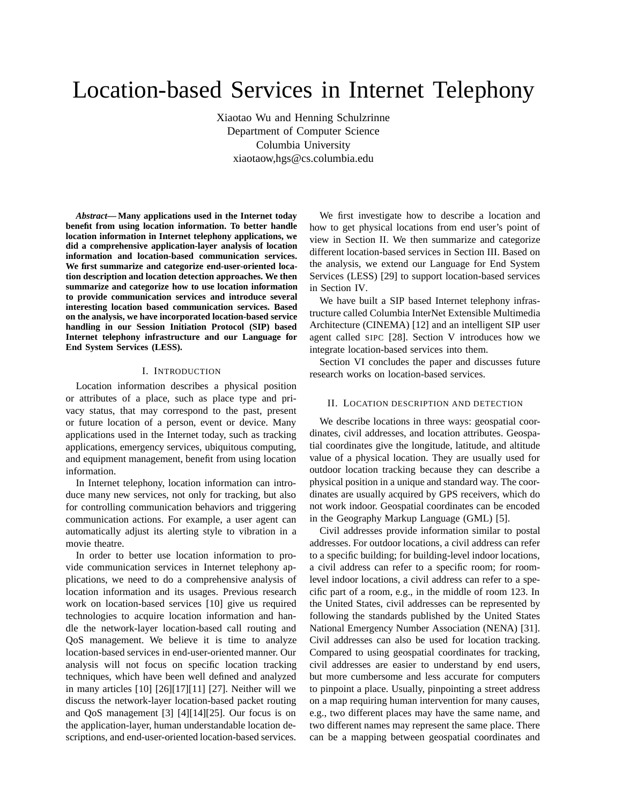# Location-based Services in Internet Telephony

Xiaotao Wu and Henning Schulzrinne Department of Computer Science Columbia University xiaotaow,hgs@cs.columbia.edu

*Abstract***— Many applications used in the Internet today benefit from using location information. To better handle location information in Internet telephony applications, we did a comprehensive application-layer analysis of location information and location-based communication services. We first summarize and categorize end-user-oriented location description and location detection approaches. We then summarize and categorize how to use location information to provide communication services and introduce several interesting location based communication services. Based on the analysis, we have incorporated location-based service handling in our Session Initiation Protocol (SIP) based Internet telephony infrastructure and our Language for End System Services (LESS).**

#### I. INTRODUCTION

Location information describes a physical position or attributes of a place, such as place type and privacy status, that may correspond to the past, present or future location of a person, event or device. Many applications used in the Internet today, such as tracking applications, emergency services, ubiquitous computing, and equipment management, benefit from using location information.

In Internet telephony, location information can introduce many new services, not only for tracking, but also for controlling communication behaviors and triggering communication actions. For example, a user agent can automatically adjust its alerting style to vibration in a movie theatre.

In order to better use location information to provide communication services in Internet telephony applications, we need to do a comprehensive analysis of location information and its usages. Previous research work on location-based services [10] give us required technologies to acquire location information and handle the network-layer location-based call routing and QoS management. We believe it is time to analyze location-based services in end-user-oriented manner. Our analysis will not focus on specific location tracking techniques, which have been well defined and analyzed in many articles [10] [26][17][11] [27]. Neither will we discuss the network-layer location-based packet routing and QoS management [3] [4][14][25]. Our focus is on the application-layer, human understandable location descriptions, and end-user-oriented location-based services.

We first investigate how to describe a location and how to get physical locations from end user's point of view in Section II. We then summarize and categorize different location-based services in Section III. Based on the analysis, we extend our Language for End System Services (LESS) [29] to support location-based services in Section IV.

We have built a SIP based Internet telephony infrastructure called Columbia InterNet Extensible Multimedia Architecture (CINEMA) [12] and an intelligent SIP user agent called SIPC [28]. Section V introduces how we integrate location-based services into them.

Section VI concludes the paper and discusses future research works on location-based services.

#### II. LOCATION DESCRIPTION AND DETECTION

We describe locations in three ways: geospatial coordinates, civil addresses, and location attributes. Geospatial coordinates give the longitude, latitude, and altitude value of a physical location. They are usually used for outdoor location tracking because they can describe a physical position in a unique and standard way. The coordinates are usually acquired by GPS receivers, which do not work indoor. Geospatial coordinates can be encoded in the Geography Markup Language (GML) [5].

Civil addresses provide information similar to postal addresses. For outdoor locations, a civil address can refer to a specific building; for building-level indoor locations, a civil address can refer to a specific room; for roomlevel indoor locations, a civil address can refer to a specific part of a room, e.g., in the middle of room 123. In the United States, civil addresses can be represented by following the standards published by the United States National Emergency Number Association (NENA) [31]. Civil addresses can also be used for location tracking. Compared to using geospatial coordinates for tracking, civil addresses are easier to understand by end users, but more cumbersome and less accurate for computers to pinpoint a place. Usually, pinpointing a street address on a map requiring human intervention for many causes, e.g., two different places may have the same name, and two different names may represent the same place. There can be a mapping between geospatial coordinates and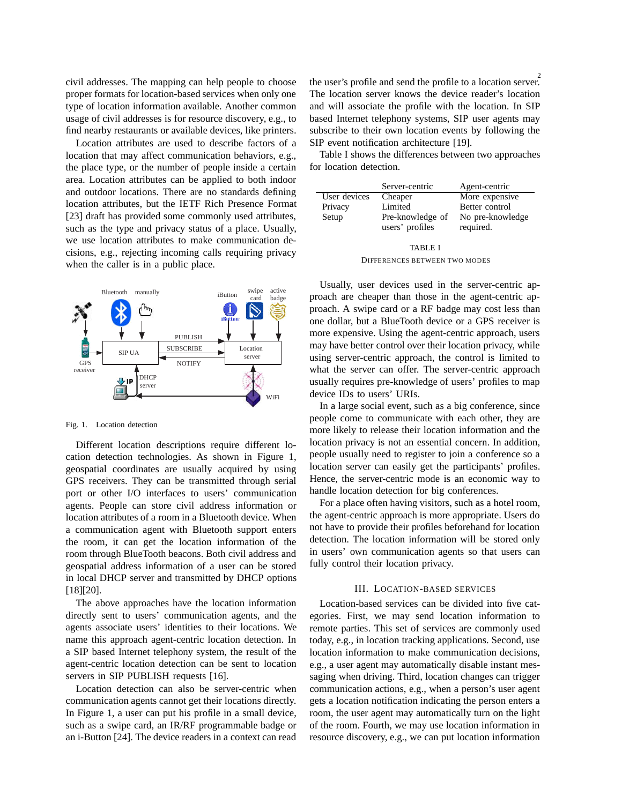civil addresses. The mapping can help people to choose proper formats for location-based services when only one type of location information available. Another common usage of civil addresses is for resource discovery, e.g., to find nearby restaurants or available devices, like printers.

Location attributes are used to describe factors of a location that may affect communication behaviors, e.g., the place type, or the number of people inside a certain area. Location attributes can be applied to both indoor and outdoor locations. There are no standards defining location attributes, but the IETF Rich Presence Format [23] draft has provided some commonly used attributes, such as the type and privacy status of a place. Usually, we use location attributes to make communication decisions, e.g., rejecting incoming calls requiring privacy when the caller is in a public place.



Fig. 1. Location detection

Different location descriptions require different location detection technologies. As shown in Figure 1, geospatial coordinates are usually acquired by using GPS receivers. They can be transmitted through serial port or other I/O interfaces to users' communication agents. People can store civil address information or location attributes of a room in a Bluetooth device. When a communication agent with Bluetooth support enters the room, it can get the location information of the room through BlueTooth beacons. Both civil address and geospatial address information of a user can be stored in local DHCP server and transmitted by DHCP options [18][20].

The above approaches have the location information directly sent to users' communication agents, and the agents associate users' identities to their locations. We name this approach agent-centric location detection. In a SIP based Internet telephony system, the result of the agent-centric location detection can be sent to location servers in SIP PUBLISH requests [16].

Location detection can also be server-centric when communication agents cannot get their locations directly. In Figure 1, a user can put his profile in a small device, such as a swipe card, an IR/RF programmable badge or an i-Button [24]. The device readers in a context can read

2 the user's profile and send the profile to a location server. The location server knows the device reader's location and will associate the profile with the location. In SIP based Internet telephony systems, SIP user agents may subscribe to their own location events by following the SIP event notification architecture [19].

Table I shows the differences between two approaches for location detection.

|              | Server-centric                      | Agent-centric                 |
|--------------|-------------------------------------|-------------------------------|
| User devices | Cheaper                             | More expensive                |
| Privacy      | Limited                             | Better control                |
| Setup        | Pre-knowledge of<br>users' profiles | No pre-knowledge<br>required. |

TABLE I DIFFERENCES BETWEEN TWO MODES

Usually, user devices used in the server-centric approach are cheaper than those in the agent-centric approach. A swipe card or a RF badge may cost less than one dollar, but a BlueTooth device or a GPS receiver is more expensive. Using the agent-centric approach, users may have better control over their location privacy, while using server-centric approach, the control is limited to what the server can offer. The server-centric approach usually requires pre-knowledge of users' profiles to map device IDs to users' URIs.

In a large social event, such as a big conference, since people come to communicate with each other, they are more likely to release their location information and the location privacy is not an essential concern. In addition, people usually need to register to join a conference so a location server can easily get the participants' profiles. Hence, the server-centric mode is an economic way to handle location detection for big conferences.

For a place often having visitors, such as a hotel room, the agent-centric approach is more appropriate. Users do not have to provide their profiles beforehand for location detection. The location information will be stored only in users' own communication agents so that users can fully control their location privacy.

#### III. LOCATION-BASED SERVICES

Location-based services can be divided into five categories. First, we may send location information to remote parties. This set of services are commonly used today, e.g., in location tracking applications. Second, use location information to make communication decisions, e.g., a user agent may automatically disable instant messaging when driving. Third, location changes can trigger communication actions, e.g., when a person's user agent gets a location notification indicating the person enters a room, the user agent may automatically turn on the light of the room. Fourth, we may use location information in resource discovery, e.g., we can put location information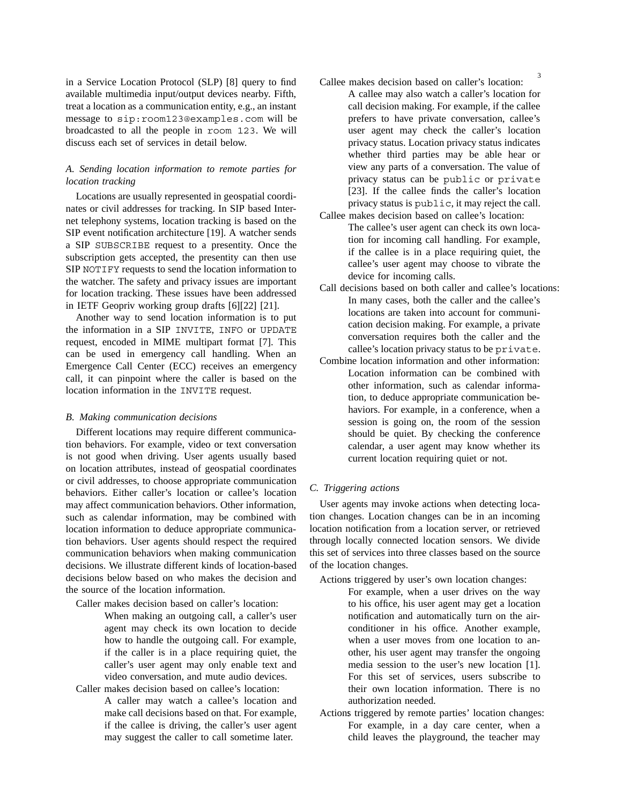in a Service Location Protocol (SLP) [8] query to find available multimedia input/output devices nearby. Fifth, treat a location as a communication entity, e.g., an instant message to sip:room123@examples.com will be broadcasted to all the people in room 123. We will discuss each set of services in detail below.

## *A. Sending location information to remote parties for location tracking*

Locations are usually represented in geospatial coordinates or civil addresses for tracking. In SIP based Internet telephony systems, location tracking is based on the SIP event notification architecture [19]. A watcher sends a SIP SUBSCRIBE request to a presentity. Once the subscription gets accepted, the presentity can then use SIP NOTIFY requests to send the location information to the watcher. The safety and privacy issues are important for location tracking. These issues have been addressed in IETF Geopriv working group drafts [6][22] [21].

Another way to send location information is to put the information in a SIP INVITE, INFO or UPDATE request, encoded in MIME multipart format [7]. This can be used in emergency call handling. When an Emergence Call Center (ECC) receives an emergency call, it can pinpoint where the caller is based on the location information in the INVITE request.

#### *B. Making communication decisions*

Different locations may require different communication behaviors. For example, video or text conversation is not good when driving. User agents usually based on location attributes, instead of geospatial coordinates or civil addresses, to choose appropriate communication behaviors. Either caller's location or callee's location may affect communication behaviors. Other information, such as calendar information, may be combined with location information to deduce appropriate communication behaviors. User agents should respect the required communication behaviors when making communication decisions. We illustrate different kinds of location-based decisions below based on who makes the decision and the source of the location information.

Caller makes decision based on caller's location:

- When making an outgoing call, a caller's user agent may check its own location to decide how to handle the outgoing call. For example, if the caller is in a place requiring quiet, the caller's user agent may only enable text and video conversation, and mute audio devices.
- Caller makes decision based on callee's location: A caller may watch a callee's location and make call decisions based on that. For example, if the callee is driving, the caller's user agent may suggest the caller to call sometime later.
- Callee makes decision based on caller's location: A callee may also watch a caller's location for call decision making. For example, if the callee prefers to have private conversation, callee's user agent may check the caller's location privacy status. Location privacy status indicates whether third parties may be able hear or view any parts of a conversation. The value of privacy status can be public or private [23]. If the callee finds the caller's location privacy status is public, it may reject the call.
- Callee makes decision based on callee's location: The callee's user agent can check its own location for incoming call handling. For example, if the callee is in a place requiring quiet, the callee's user agent may choose to vibrate the device for incoming calls.
- Call decisions based on both caller and callee's locations: In many cases, both the caller and the callee's locations are taken into account for communication decision making. For example, a private conversation requires both the caller and the callee's location privacy status to be private.
- Combine location information and other information: : Location information can be combined with other information, such as calendar information, to deduce appropriate communication behaviors. For example, in a conference, when a session is going on, the room of the session should be quiet. By checking the conference calendar, a user agent may know whether its current location requiring quiet or not.

#### *C. Triggering actions*

User agents may invoke actions when detecting location changes. Location changes can be in an incoming location notification from a location server, or retrieved through locally connected location sensors. We divide this set of services into three classes based on the source of the location changes.

Actions triggered by user's own location changes: :

- For example, when a user drives on the way to his office, his user agent may get a location notification and automatically turn on the airconditioner in his office. Another example, when a user moves from one location to another, his user agent may transfer the ongoing media session to the user's new location [1]. For this set of services, users subscribe to their own location information. There is no authorization needed.
- Actions triggered by remote parties' location changes: : For example, in a day care center, when a child leaves the playground, the teacher may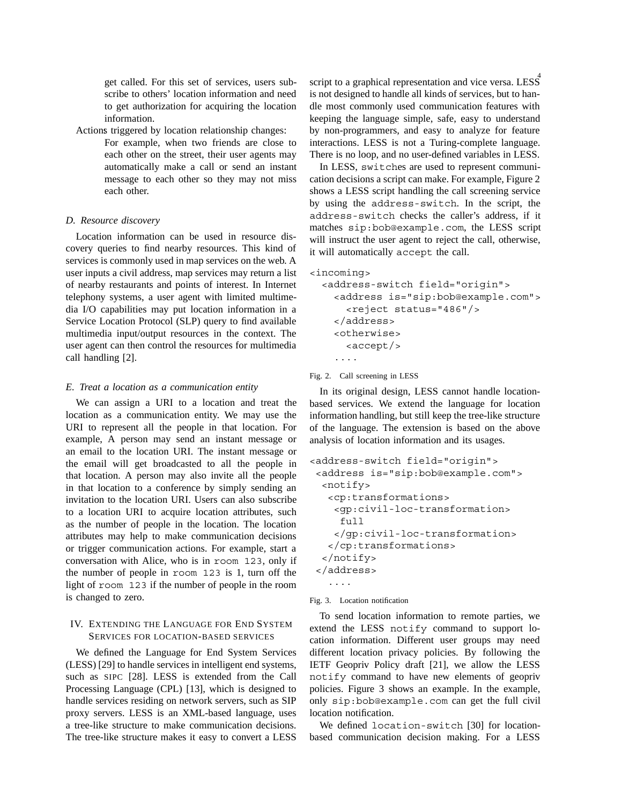get called. For this set of services, users subscribe to others' location information and need to get authorization for acquiring the location information.

Actions triggered by location relationship changes: : For example, when two friends are close to each other on the street, their user agents may automatically make a call or send an instant message to each other so they may not miss each other.

#### *D. Resource discovery*

Location information can be used in resource discovery queries to find nearby resources. This kind of services is commonly used in map services on the web. A user inputs a civil address, map services may return a list of nearby restaurants and points of interest. In Internet telephony systems, a user agent with limited multimedia I/O capabilities may put location information in a Service Location Protocol (SLP) query to find available multimedia input/output resources in the context. The user agent can then control the resources for multimedia call handling [2].

#### *E. Treat a location as a communication entity*

We can assign a URI to a location and treat the location as a communication entity. We may use the URI to represent all the people in that location. For example, A person may send an instant message or an email to the location URI. The instant message or the email will get broadcasted to all the people in that location. A person may also invite all the people in that location to a conference by simply sending an invitation to the location URI. Users can also subscribe to a location URI to acquire location attributes, such as the number of people in the location. The location attributes may help to make communication decisions or trigger communication actions. For example, start a conversation with Alice, who is in room 123, only if the number of people in room 123 is 1, turn off the light of room 123 if the number of people in the room is changed to zero.

## IV. EXTENDING THE LANGUAGE FOR END SYSTEM SERVICES FOR LOCATION-BASED SERVICES

We defined the Language for End System Services (LESS) [29] to handle services in intelligent end systems, such as SIPC [28]. LESS is extended from the Call Processing Language (CPL) [13], which is designed to handle services residing on network servers, such as SIP proxy servers. LESS is an XML-based language, uses a tree-like structure to make communication decisions. The tree-like structure makes it easy to convert a LESS

script to a graphical representation and vice versa. LESS is not designed to handle all kinds of services, but to handle most commonly used communication features with keeping the language simple, safe, easy to understand by non-programmers, and easy to analyze for feature interactions. LESS is not a Turing-complete language. There is no loop, and no user-defined variables in LESS.

In LESS, switches are used to represent communication decisions a script can make. For example, Figure 2 shows a LESS script handling the call screening service by using the address-switch. In the script, the address-switch checks the caller's address, if it matches sip:bob@example.com, the LESS script will instruct the user agent to reject the call, otherwise, it will automatically accept the call.

```
<incoming>
```

```
<address-switch field="origin">
 <address is="sip:bob@example.com">
   <reject status="486"/>
 </address>
 <otherwise>
   \langleaccept/>
 ....
```
Fig. 2. Call screening in LESS

In its original design, LESS cannot handle locationbased services. We extend the language for location information handling, but still keep the tree-like structure of the language. The extension is based on the above analysis of location information and its usages.

```
<address-switch field="origin">
<address is="sip:bob@example.com">
 <notify>
  <cp:transformations>
   <gp:civil-loc-transformation>
    full
   </gp:civil-loc-transformation>
  </cp:transformations>
 </notify>
</address>
  ....
```

```
Fig. 3. Location notification
```
To send location information to remote parties, we extend the LESS notify command to support location information. Different user groups may need different location privacy policies. By following the IETF Geopriv Policy draft [21], we allow the LESS notify command to have new elements of geopriv policies. Figure 3 shows an example. In the example, only sip:bob@example.com can get the full civil location notification.

We defined location-switch [30] for locationbased communication decision making. For a LESS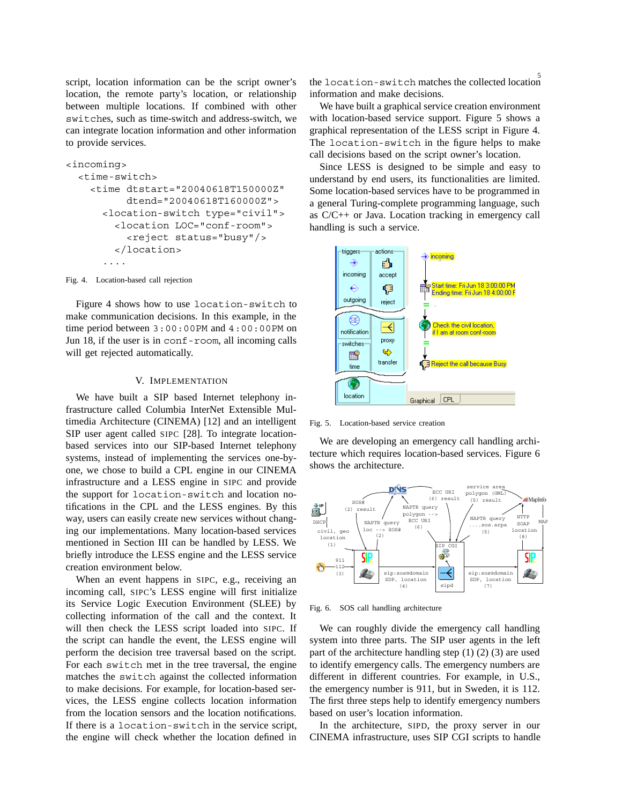script, location information can be the script owner's location, the remote party's location, or relationship between multiple locations. If combined with other switches, such as time-switch and address-switch, we can integrate location information and other information to provide services.

```
<incoming>
 <time-switch>
   <time dtstart="20040618T150000Z"
         dtend="20040618T160000Z">
     <location-switch type="civil">
       <location LOC="conf-room">
         <reject status="busy"/>
       </location>
     ....
```
Fig. 4. Location-based call rejection

Figure 4 shows how to use location-switch to make communication decisions. In this example, in the time period between 3:00:00PM and 4:00:00PM on Jun 18, if the user is in conf-room, all incoming calls will get rejected automatically.

### V. IMPLEMENTATION

We have built a SIP based Internet telephony infrastructure called Columbia InterNet Extensible Multimedia Architecture (CINEMA) [12] and an intelligent SIP user agent called SIPC [28]. To integrate locationbased services into our SIP-based Internet telephony systems, instead of implementing the services one-byone, we chose to build a CPL engine in our CINEMA infrastructure and a LESS engine in SIPC and provide the support for location-switch and location notifications in the CPL and the LESS engines. By this way, users can easily create new services without changing our implementations. Many location-based services mentioned in Section III can be handled by LESS. We briefly introduce the LESS engine and the LESS service creation environment below.

When an event happens in SIPC, e.g., receiving an incoming call, SIPC's LESS engine will first initialize its Service Logic Execution Environment (SLEE) by collecting information of the call and the context. It will then check the LESS script loaded into SIPC. If the script can handle the event, the LESS engine will perform the decision tree traversal based on the script. For each switch met in the tree traversal, the engine matches the switch against the collected information to make decisions. For example, for location-based services, the LESS engine collects location information from the location sensors and the location notifications. If there is a location-switch in the service script, the engine will check whether the location defined in

5 the location-switch matches the collected location information and make decisions.

We have built a graphical service creation environment with location-based service support. Figure 5 shows a graphical representation of the LESS script in Figure 4. The location-switch in the figure helps to make call decisions based on the script owner's location.

Since LESS is designed to be simple and easy to understand by end users, its functionalities are limited. Some location-based services have to be programmed in a general Turing-complete programming language, such as C/C++ or Java. Location tracking in emergency call handling is such a service.



Fig. 5. Location-based service creation

We are developing an emergency call handling architecture which requires location-based services. Figure 6 shows the architecture.



Fig. 6. SOS call handling architecture

We can roughly divide the emergency call handling system into three parts. The SIP user agents in the left part of the architecture handling step (1) (2) (3) are used to identify emergency calls. The emergency numbers are different in different countries. For example, in U.S., the emergency number is 911, but in Sweden, it is 112. The first three steps help to identify emergency numbers based on user's location information.

In the architecture, SIPD, the proxy server in our CINEMA infrastructure, uses SIP CGI scripts to handle